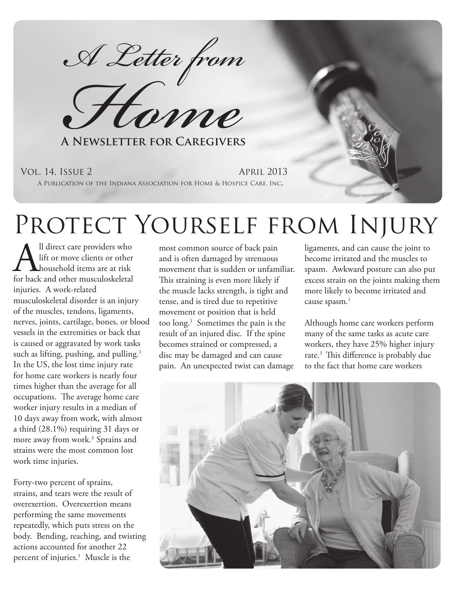*A Letter from*



**A Newsletter for Caregivers**

#### VOL. 14, ISSUE 2 APRIL 2013

A Publication of the Indiana Association for Home & Hospice Care, Inc.

# PROTECT YOURSELF FROM INJURY

All direct care providers who<br>lift or move clients or other<br>for back and other musculoskeletal lift or move clients or other household items are at risk for back and other musculoskeletal injuries. A work-related musculoskeletal disorder is an injury of the muscles, tendons, ligaments, nerves, joints, cartilage, bones, or blood vessels in the extremities or back that is caused or aggravated by work tasks such as lifting, pushing, and pulling. $<sup>1</sup>$ </sup> In the US, the lost time injury rate for home care workers is nearly four times higher than the average for all occupations. The average home care worker injury results in a median of 10 days away from work, with almost a third (28.1%) requiring 31 days or more away from work.<sup>3</sup> Sprains and strains were the most common lost work time injuries.

Forty-two percent of sprains, strains, and tears were the result of overexertion. Overexertion means performing the same movements repeatedly, which puts stress on the body. Bending, reaching, and twisting actions accounted for another 22 percent of injuries.<sup>1</sup> Muscle is the

most common source of back pain and is often damaged by strenuous movement that is sudden or unfamiliar. This straining is even more likely if the muscle lacks strength, is tight and tense, and is tired due to repetitive movement or position that is held too long.1 Sometimes the pain is the result of an injured disc. If the spine becomes strained or compressed, a disc may be damaged and can cause pain. An unexpected twist can damage

ligaments, and can cause the joint to become irritated and the muscles to spasm. Awkward posture can also put excess strain on the joints making them more likely to become irritated and cause spasm. $<sup>1</sup>$ </sup>

Although home care workers perform many of the same tasks as acute care workers, they have 25% higher injury rate.3 This difference is probably due to the fact that home care workers

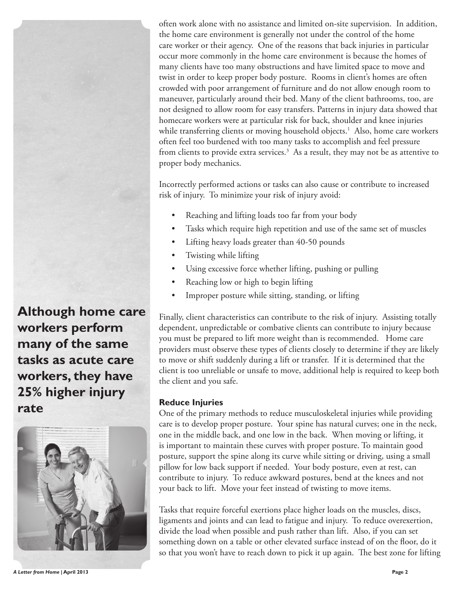**Although home care workers perform many of the same tasks as acute care workers, they have 25% higher injury rate**



often work alone with no assistance and limited on-site supervision. In addition, the home care environment is generally not under the control of the home care worker or their agency. One of the reasons that back injuries in particular occur more commonly in the home care environment is because the homes of many clients have too many obstructions and have limited space to move and twist in order to keep proper body posture. Rooms in client's homes are often crowded with poor arrangement of furniture and do not allow enough room to maneuver, particularly around their bed. Many of the client bathrooms, too, are not designed to allow room for easy transfers. Patterns in injury data showed that homecare workers were at particular risk for back, shoulder and knee injuries while transferring clients or moving household objects.<sup>1</sup> Also, home care workers often feel too burdened with too many tasks to accomplish and feel pressure from clients to provide extra services.<sup>3</sup> As a result, they may not be as attentive to proper body mechanics.

Incorrectly performed actions or tasks can also cause or contribute to increased risk of injury. To minimize your risk of injury avoid:

- Reaching and lifting loads too far from your body
- Tasks which require high repetition and use of the same set of muscles
- Lifting heavy loads greater than 40-50 pounds
- Twisting while lifting
- Using excessive force whether lifting, pushing or pulling
- Reaching low or high to begin lifting
- Improper posture while sitting, standing, or lifting

Finally, client characteristics can contribute to the risk of injury. Assisting totally dependent, unpredictable or combative clients can contribute to injury because you must be prepared to lift more weight than is recommended. Home care providers must observe these types of clients closely to determine if they are likely to move or shift suddenly during a lift or transfer. If it is determined that the client is too unreliable or unsafe to move, additional help is required to keep both the client and you safe.

### **Reduce Injuries**

One of the primary methods to reduce musculoskeletal injuries while providing care is to develop proper posture. Your spine has natural curves; one in the neck, one in the middle back, and one low in the back. When moving or lifting, it is important to maintain these curves with proper posture. To maintain good posture, support the spine along its curve while sitting or driving, using a small pillow for low back support if needed. Your body posture, even at rest, can contribute to injury. To reduce awkward postures, bend at the knees and not your back to lift. Move your feet instead of twisting to move items.

Tasks that require forceful exertions place higher loads on the muscles, discs, ligaments and joints and can lead to fatigue and injury. To reduce overexertion, divide the load when possible and push rather than lift. Also, if you can set something down on a table or other elevated surface instead of on the floor, do it so that you won't have to reach down to pick it up again. The best zone for lifting